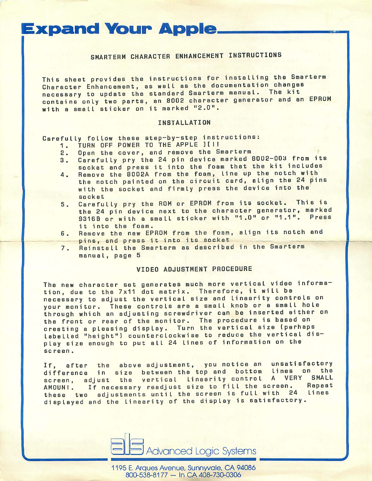# **Expand Your Apple.**

## SMARTERM CHARACTER ENHANCEMENT INSTRUCTIONS

This sheet provides the instructions for installing the Smarterm Character Enhancement, as well as the documentation changes necessary to update the standard Smarterm manual. The kit contains only two parts, an 8002 character generator and an EPROM with a small sticker on it marked "2.0".

#### INSTALLATION

Carefully follow these step-by-step instructions:

- TURN OFF POWER TO THE APPLE IIII 1.
- Open the cover, and remove the Smarterm  $2.$
- Carefully pry the 24 pin device marked 8002-003 from its З. socket and press it into the foam that the kit includes
- Remove the 8002A from the foam, line up the notch with 4. the notch painted on the circuit card, align the 24 pins with the socket and firmly press the device into the socket
- Carefully pry the ROM or EPROM from its socket. This is  $5.$ the 24 pin device next to the character generator, marked 9316B or with a small sticker with "1.0" or "1.1". Press it into the foam.
- Remove the new EPROM from the foam, align its notch and 6. pins, and press it into its socket
- Reinstall the Smarterm as described in the Smarterm  $7.$ manual, page 5

### **VIDEO ADJUSTMENT PROCEDURE**

The new character set generates much more vertical video information, due to the 7x11 dot matrix. Therefore, it will be necessary to adjust the vertical size and linearity controls on your monitor. These controls are a small knob or a small hole through which an adjusting screwdriver can be inserted either on the front or rear of the monitor. The procedure is based on creating a pleasing display. Turn the vertical size (perhaps Labelled "height") counterclockwise to reduce the vertical display size enough to put all 24 lines of information on the screen.

after the above adjustment, you notice an unsatisfactory  $If.$ difference in size between the top and bottom lines on the screen, adjust the vertical linearity control A VERY SMALL If necessary readjust size to fill the screen. Repeat AMOUNT. these two adjustments until the screen is full with 24 Lines displayed and the linearity of the display is satisfactory.